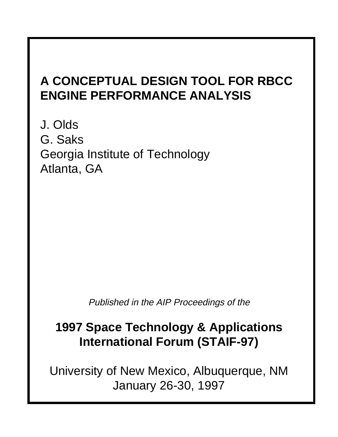# **A CONCEPTUAL DESIGN TOOL FOR RBCC ENGINE PERFORMANCE ANALYSIS**

J. Olds G. Saks Georgia Institute of Technology Atlanta, GA

Published in the AIP Proceedings of the

# **1997 Space Technology & Applications International Forum (STAIF-97)**

University of New Mexico, Albuquerque, NM January 26-30, 1997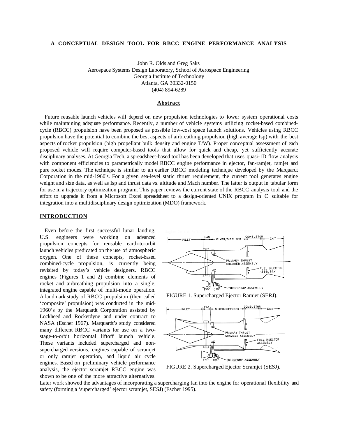# **A CONCEPTUAL DESIGN TOOL FOR RBCC ENGINE PERFORMANCE ANALYSIS**

John R. Olds and Greg Saks Aerospace Systems Design Laboratory, School of Aerospace Engineering Georgia Institute of Technology Atlanta, GA 30332-0150 (404) 894-6289

## **Abstract**

Future reusable launch vehicles will depend on new propulsion technologies to lower system operational costs while maintaining adequate performance. Recently, a number of vehicle systems utilizing rocket-based combinedcycle (RBCC) propulsion have been proposed as possible low-cost space launch solutions. Vehicles using RBCC propulsion have the potential to combine the best aspects of airbreathing propulsion (high average Isp) with the best aspects of rocket propulsion (high propellant bulk density and engine T/W). Proper conceptual assessment of each proposed vehicle will require computer-based tools that allow for quick and cheap, yet sufficiently accurate disciplinary analyses. At Georgia Tech, a spreadsheet-based tool has been developed that uses quasi-1D flow analysis with component efficiencies to parametrically model RBCC engine performance in ejector, fan-ramjet, ramjet and pure rocket modes. The technique is similar to an earlier RBCC modeling technique developed by the Marquardt Corporation in the mid-1960's. For a given sea-level static thrust requirement, the current tool generates engine weight and size data, as well as Isp and thrust data vs. altitude and Mach number. The latter is output in tabular form for use in a trajectory optimization program. This paper reviews the current state of the RBCC analysis tool and the effort to upgrade it from a Microsoft Excel spreadsheet to a design-oriented UNIX program in C suitable for integration into a multidisciplinary design optimization (MDO) framework.

# **INTRODUCTION**

Even before the first successful lunar landing, U.S. engineers were working on advanced propulsion concepts for reusable earth-to-orbit launch vehicles predicated on the use of atmospheric oxygen. One of these concepts, rocket-based combined-cycle propulsion, is currently being revisited by today's vehicle designers. RBCC engines (Figures 1 and 2) combine elements of rocket and airbreathing propulsion into a single, integrated engine capable of multi-mode operation. A landmark study of RBCC propulsion (then called 'composite' propulsion) was conducted in the mid-1960's by the Marquardt Corporation assisted by Lockheed and Rocketdyne and under contract to NASA (Escher 1967). Marquardt's study considered many different RBCC variants for use on a twostage-to-orbit horizontal liftoff launch vehicle. These variants included supercharged and nonsupercharged versions, engines capable of scramjet or only ramjet operation, and liquid air cycle engines. Based on preliminary vehicle performance analysis, the ejector scramjet RBCC engine was shown to be one of the more attractive alternatives.



FIGURE 1. Supercharged Ejector Ramjet (SERJ).



FIGURE 2. Supercharged Ejector Scramjet (SESJ).

Later work showed the advantages of incorporating a supercharging fan into the engine for operational flexibility and safety (forming a 'supercharged' ejector scramjet, SESJ) (Escher 1995).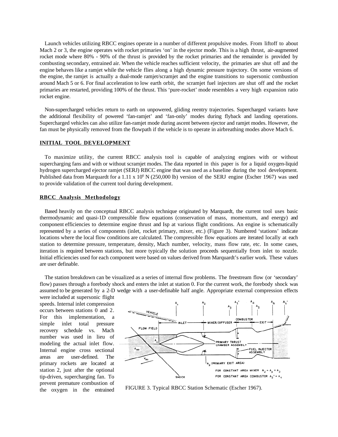Launch vehicles utilizing RBCC engines operate in a number of different propulsive modes. From liftoff to about Mach 2 or 3, the engine operates with rocket primaries 'on' in the ejector mode. This is a high thrust, air-augmented rocket mode where 80% - 90% of the thrust is provided by the rocket primaries and the remainder is provided by combusting secondary, entrained air. When the vehicle reaches sufficient velocity, the primaries are shut off and the engine behaves like a ramjet while the vehicle flies along a high dynamic pressure trajectory. On some versions of the engine, the ramjet is actually a dual-mode ramjet/scramjet and the engine transitions to supersonic combustion around Mach 5 or 6. For final acceleration to low earth orbit, the scramjet fuel injectors are shut off and the rocket primaries are restarted, providing 100% of the thrust. This 'pure-rocket' mode resembles a very high expansion ratio rocket engine.

Non-supercharged vehicles return to earth on unpowered, gliding reentry trajectories. Supercharged variants have the additional flexibility of powered 'fan-ramjet' and 'fan-only' modes during flyback and landing operations. Supercharged vehicles can also utilize fan-ramjet mode during ascent between ejector and ramjet modes. However, the fan must be physically removed from the flowpath if the vehicle is to operate in airbreathing modes above Mach 6.

# **INITIAL TOOL DEVELOPMENT**

To maximize utility, the current RBCC analysis tool is capable of analyzing engines with or without supercharging fans and with or without scramjet modes. The data reported in this paper is for a liquid oxygen-liquid hydrogen supercharged ejector ramjet (SERJ) RBCC engine that was used as a baseline during the tool development. Published data from Marquardt for a  $1.11 \times 10^6$  N (250,000 lb) version of the SERJ engine (Escher 1967) was used to provide validation of the current tool during development.

# **RBCC Analysis Methodology**

Based heavily on the conceptual RBCC analysis technique originated by Marquardt, the current tool uses basic thermodynamic and quasi-1D compressible flow equations (conservation of mass, momentum, and energy) and component efficiencies to determine engine thrust and Isp at various flight conditions. An engine is schematically represented by a series of components (inlet, rocket primary, mixer, etc.) (Figure 3). Numbered 'stations' indicate locations where the local flow conditions are calculated. The compressible flow equations are iterated locally at each station to determine pressure, temperature, density, Mach number, velocity, mass flow rate, etc. In some cases, iteration is required between stations, but more typically the solution proceeds sequentially from inlet to nozzle. Initial efficiencies used for each component were based on values derived from Marquardt's earlier work. These values are user definable.

The station breakdown can be visualized as a series of internal flow problems. The freestream flow (or 'secondary' flow) passes through a forebody shock and enters the inlet at station 0. For the current work, the forebody shock was assumed to be generated by a 2-D wedge with a user-definable half angle. Appropriate external compression effects

were included at supersonic flight speeds. Internal inlet compression occurs between stations 0 and 2. For this implementation, a simple inlet total pressure recovery schedule vs. Mach number was used in lieu of modeling the actual inlet flow. Internal engine cross sectional areas are user-defined. The primary rockets are located at station 2, just after the optional tip-driven, supercharging fan. To prevent premature combustion of



the oxygen in the entrained FIGURE 3. Typical RBCC Station Schematic (Escher 1967).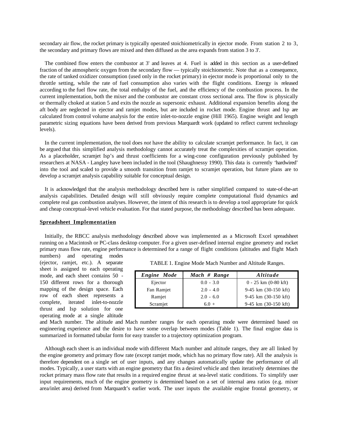secondary air flow, the rocket primary is typically operated stoichiometrically in ejector mode. From station 2 to 3, the secondary and primary flows are mixed and then diffused as the area expands from station 3 to 3'.

The combined flow enters the combustor at 3' and leaves at 4. Fuel is added in this section as a user-defined fraction of the atmospheric oxygen from the secondary flow — typically stoichiometric. Note that as a consequence, the rate of tanked oxidizer consumption (used only in the rocket primary) in ejector mode is proportional only to the throttle setting, while the rate of fuel consumption also varies with the flight conditions. Energy is released according to the fuel flow rate, the total enthalpy of the fuel, and the efficiency of the combustion process. In the current implementation, both the mixer and the combustor are constant cross sectional area. The flow is physically or thermally choked at station 5 and exits the nozzle as supersonic exhaust. Additional expansion benefits along the aft body are neglected in ejector and ramjet modes, but are included in rocket mode. Engine thrust and Isp are calculated from control volume analysis for the entire inlet-to-nozzle engine (Hill 1965). Engine weight and length parametric sizing equations have been derived from previous Marquardt work (updated to reflect current technology levels).

In the current implementation, the tool does *not* have the ability to calculate scramjet performance. In fact, it can be argued that this simplified analysis methodology cannot accurately treat the complexities of scramjet operation. As a placeholder, scramjet Isp's and thrust coefficients for a wing-cone configuration previously published by researchers at NASA - Langley have been included in the tool (Shaughnessy 1990). This data is currently 'hardwired' into the tool and scaled to provide a smooth transition from ramjet to scramjet operation, but future plans are to develop a scramjet analysis capability suitable for conceptual design.

It is acknowledged that the analysis methodology described here is rather simplified compared to state-of-the-art analysis capabilities. Detailed design will still obviously require complete computational fluid dynamics and complete real gas combustion analyses. However, the intent of this research is to develop a tool appropriate for quick and cheap conceptual-level vehicle evaluation. For that stated purpose, the methodology described has been adequate.

#### **Spreadsheet Implementation**

Initially, the RBCC analysis methodology described above was implemented as a Microsoft Excel spreadsheet running on a Macintosh or PC-class desktop computer. For a given user-defined internal engine geometry and rocket primary mass flow rate, engine performance is determined for a range of flight conditions (altitudes and flight Mach

numbers) and operating modes (ejector, ramjet, etc.). A separate sheet is assigned to each operating mode, and each sheet contains 50 - 150 different rows for a thorough mapping of the design space. Each row of each sheet represents a complete, iterated inlet-to-nozzle thrust and Isp solution for one operating mode at a single altitude

| TABLE 1. Engine Mode Mach Number and Altitude Ranges. |
|-------------------------------------------------------|
|                                                       |

| <b>Engine</b> Mode | Mach # Range | <i>Altitude</i>          |
|--------------------|--------------|--------------------------|
| Ejector            | $0.0 - 3.0$  | $0 - 25$ km $(0-80$ kft) |
| Fan Ramjet         | $2.0 - 4.0$  | 9-45 km (30-150 kft)     |
| Ramjet             | $2.0 - 6.0$  | 9-45 km (30-150 kft)     |
| Scramjet           | $6.0 +$      | 9-45 km (30-150 kft)     |

and Mach number. The altitude and Mach number ranges for each operating mode were determined based on engineering experience and the desire to have some overlap between modes (Table 1). The final engine data is summarized in formatted tabular form for easy transfer to a trajectory optimization program.

Although each sheet is an individual mode with different Mach number and altitude ranges, they are all linked by the engine geometry and primary flow rate (except ramjet mode, which has no primary flow rate). All the analysis is therefore dependent on a single set of user inputs, and any changes automatically update the performance of all modes. Typically, a user starts with an engine geometry that fits a desired vehicle and then iteratively determines the rocket primary mass flow rate that results in a required engine thrust at sea-level static conditions. To simplify user input requirements, much of the engine geometry is determined based on a set of internal area ratios (e.g. mixer area/inlet area) derived from Marquardt's earlier work. The user inputs the available engine frontal geometry, or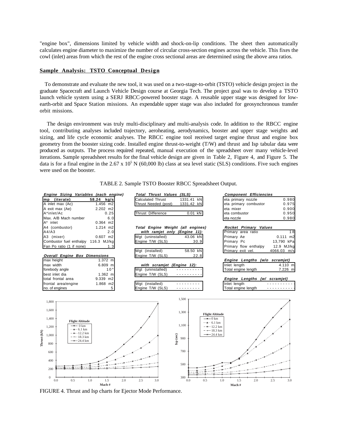"engine box", dimensions limited by vehicle width and shock-on-lip conditions. The sheet then automatically calculates engine diameter to maximize the number of circular cross-section engines across the vehicle. This fixes the cowl (inlet) areas from which the rest of the engine cross sectional areas are determined using the above area ratios.

#### **Sample Analysis: TSTO Conceptual Design**

To demonstrate and evaluate the new tool, it was used on a two-stage-to-orbit (TSTO) vehicle design project in the graduate Spacecraft and Launch Vehicle Design course at Georgia Tech. The project goal was to develop a TSTO launch vehicle system using a SERJ RBCC-powered booster stage. A reusable upper stage was designed for lowearth-orbit and Space Station missions. An expendable upper stage was also included for geosynchronous transfer orbit missions.

 The design environment was truly multi-disciplinary and multi-analysis code. In addition to the RBCC engine tool, contributing analyses included trajectory, aeroheating, aerodynamics, booster and upper stage weights and sizing, and life cycle economic analyses. The RBCC engine tool received target engine thrust and engine box geometry from the booster sizing code. Installed engine thrust-to-weight (T/W) and thrust and Isp tabular data were produced as outputs. The process required repeated, manual execution of the spreadsheet over many vehicle-level iterations. Sample spreadsheet results for the final vehicle design are given in Table 2, Figure 4, and Figure 5. The data is for a final engine in the 2.67 x  $10^5$  N (60,000 lb) class at sea level static (SLS) conditions. Five such engines were used on the booster.



TABLE 2. Sample TSTO Booster RBCC Spreadsheet Output.

FIGURE 4. Thrust and Isp charts for Ejector Mode Performance.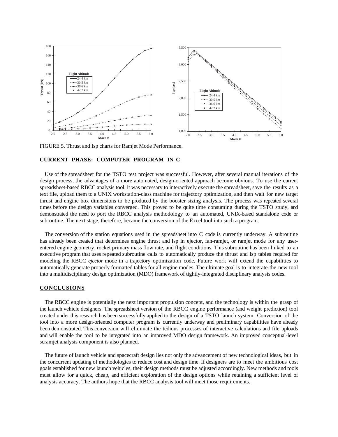

FIGURE 5. Thrust and Isp charts for Ramjet Mode Performance.

#### **CURRENT PHASE: COMPUTER PROGRAM IN C**

Use of the spreadsheet for the TSTO test project was successful. However, after several manual iterations of the design process, the advantages of a more automated, design-oriented approach become obvious. To use the current spreadsheet-based RBCC analysis tool, it was necessary to interactively execute the spreadsheet, save the results as a text file, upload them to a UNIX workstation-class machine for trajectory optimization, and then wait for new target thrust and engine box dimensions to be produced by the booster sizing analysis. The process was repeated several times before the design variables converged. This proved to be quite time consuming during the TSTO study, and demonstrated the need to port the RBCC analysis methodology to an automated, UNIX-based standalone code or subroutine. The next stage, therefore, became the conversion of the Excel tool into such a program.

The conversion of the station equations used in the spreadsheet into C code is currently underway. A subroutine has already been created that determines engine thrust and Isp in ejector, fan-ramjet, or ramjet mode for any userentered engine geometry, rocket primary mass flow rate, and flight conditions. This subroutine has been linked to an executive program that uses repeated subroutine calls to automatically produce the thrust and Isp tables required for modeling the RBCC *ejector* mode in a trajectory optimization code. Future work will extend the capabilities to automatically generate properly formatted tables for all engine modes. The ultimate goal is to integrate the new tool into a multidisciplinary design optimization (MDO) framework of tightly-integrated disciplinary analysis codes.

#### **CONCLUSIONS**

The RBCC engine is potentially the next important propulsion concept, and the technology is within the grasp of the launch vehicle designers. The spreadsheet version of the RBCC engine performance (and weight prediction) tool created under this research has been successfully applied to the design of a TSTO launch system. Conversion of the tool into a more design-oriented computer program is currently underway and preliminary capabilities have already been demonstrated. This conversion will eliminate the tedious processes of interactive calculations and file uploads and will enable the tool to be integrated into an improved MDO design framework. An improved conceptual-level scramjet analysis component is also planned.

The future of launch vehicle and spacecraft design lies not only the advancement of new technological ideas, but in the concurrent updating of methodologies to reduce cost and design time. If designers are to meet the ambitious cost goals established for new launch vehicles, their design methods must be adjusted accordingly. New methods and tools must allow for a quick, cheap, and efficient exploration of the design options while retaining a sufficient level of analysis accuracy. The authors hope that the RBCC analysis tool will meet those requirements.